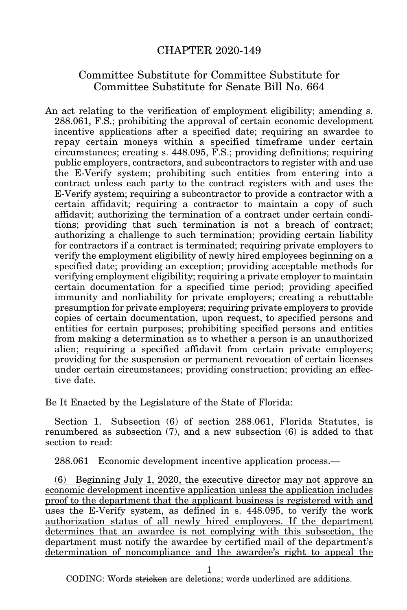## CHAPTER 2020-149

## Committee Substitute for Committee Substitute for Committee Substitute for Senate Bill No. 664

An act relating to the verification of employment eligibility; amending s. 288.061, F.S.; prohibiting the approval of certain economic development incentive applications after a specified date; requiring an awardee to repay certain moneys within a specified timeframe under certain circumstances; creating s. 448.095, F.S.; providing definitions; requiring public employers, contractors, and subcontractors to register with and use the E-Verify system; prohibiting such entities from entering into a contract unless each party to the contract registers with and uses the E-Verify system; requiring a subcontractor to provide a contractor with a certain affidavit; requiring a contractor to maintain a copy of such affidavit; authorizing the termination of a contract under certain conditions; providing that such termination is not a breach of contract; authorizing a challenge to such termination; providing certain liability for contractors if a contract is terminated; requiring private employers to verify the employment eligibility of newly hired employees beginning on a specified date; providing an exception; providing acceptable methods for verifying employment eligibility; requiring a private employer to maintain certain documentation for a specified time period; providing specified immunity and nonliability for private employers; creating a rebuttable presumption for private employers; requiring private employers to provide copies of certain documentation, upon request, to specified persons and entities for certain purposes; prohibiting specified persons and entities from making a determination as to whether a person is an unauthorized alien; requiring a specified affidavit from certain private employers; providing for the suspension or permanent revocation of certain licenses under certain circumstances; providing construction; providing an effective date.

Be It Enacted by the Legislature of the State of Florida:

Section 1. Subsection (6) of section 288.061, Florida Statutes, is renumbered as subsection (7), and a new subsection (6) is added to that section to read:

288.061 Economic development incentive application process.—

(6) Beginning July 1, 2020, the executive director may not approve an economic development incentive application unless the application includes proof to the department that the applicant business is registered with and uses the E-Verify system, as defined in s. 448.095, to verify the work authorization status of all newly hired employees. If the department determines that an awardee is not complying with this subsection, the department must notify the awardee by certified mail of the department's determination of noncompliance and the awardee's right to appeal the

1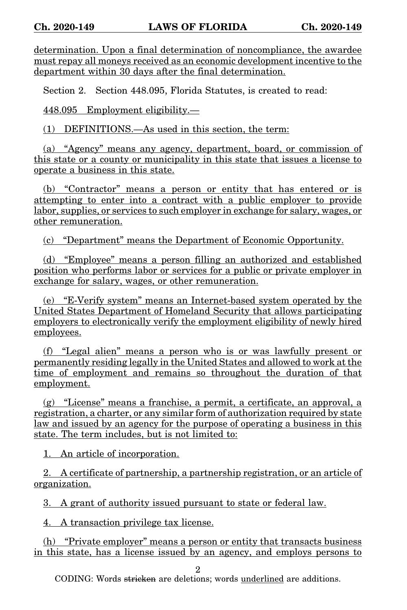determination. Upon a final determination of noncompliance, the awardee must repay all moneys received as an economic development incentive to the department within 30 days after the final determination.

Section 2. Section 448.095, Florida Statutes, is created to read:

448.095 Employment eligibility.—

(1) DEFINITIONS.—As used in this section, the term:

(a) "Agency" means any agency, department, board, or commission of this state or a county or municipality in this state that issues a license to operate a business in this state.

(b) "Contractor" means a person or entity that has entered or is attempting to enter into a contract with a public employer to provide labor, supplies, or services to such employer in exchange for salary, wages, or other remuneration.

(c) "Department" means the Department of Economic Opportunity.

(d) "Employee" means a person filling an authorized and established position who performs labor or services for a public or private employer in exchange for salary, wages, or other remuneration.

(e) "E-Verify system" means an Internet-based system operated by the United States Department of Homeland Security that allows participating employers to electronically verify the employment eligibility of newly hired employees.

(f) "Legal alien" means a person who is or was lawfully present or permanently residing legally in the United States and allowed to work at the time of employment and remains so throughout the duration of that employment.

(g) "License" means a franchise, a permit, a certificate, an approval, a registration, a charter, or any similar form of authorization required by state law and issued by an agency for the purpose of operating a business in this state. The term includes, but is not limited to:

1. An article of incorporation.

2. A certificate of partnership, a partnership registration, or an article of organization.

3. A grant of authority issued pursuant to state or federal law.

4. A transaction privilege tax license.

(h) "Private employer" means a person or entity that transacts business in this state, has a license issued by an agency, and employs persons to

2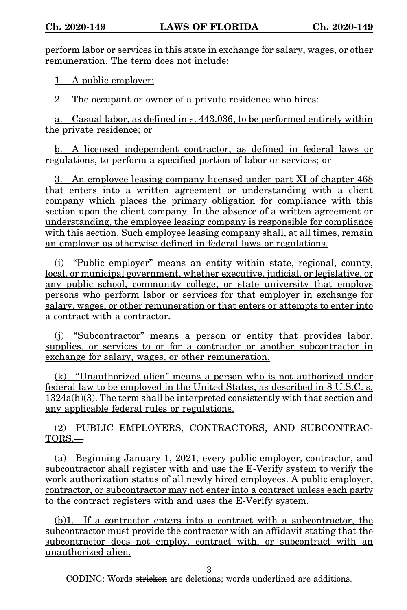perform labor or services in this state in exchange for salary, wages, or other remuneration. The term does not include:

1. A public employer;

2. The occupant or owner of a private residence who hires:

a. Casual labor, as defined in s. 443.036, to be performed entirely within the private residence; or

b. A licensed independent contractor, as defined in federal laws or regulations, to perform a specified portion of labor or services; or

3. An employee leasing company licensed under part XI of chapter 468 that enters into a written agreement or understanding with a client company which places the primary obligation for compliance with this section upon the client company. In the absence of a written agreement or understanding, the employee leasing company is responsible for compliance with this section. Such employee leasing company shall, at all times, remain an employer as otherwise defined in federal laws or regulations.

(i) "Public employer" means an entity within state, regional, county, local, or municipal government, whether executive, judicial, or legislative, or any public school, community college, or state university that employs persons who perform labor or services for that employer in exchange for salary, wages, or other remuneration or that enters or attempts to enter into a contract with a contractor.

(j) "Subcontractor" means a person or entity that provides labor, supplies, or services to or for a contractor or another subcontractor in exchange for salary, wages, or other remuneration.

(k) "Unauthorized alien" means a person who is not authorized under federal law to be employed in the United States, as described in 8 U.S.C. s. 1324a(h)(3). The term shall be interpreted consistently with that section and any applicable federal rules or regulations.

(2) PUBLIC EMPLOYERS, CONTRACTORS, AND SUBCONTRAC-TORS.—

(a) Beginning January 1, 2021, every public employer, contractor, and subcontractor shall register with and use the E-Verify system to verify the work authorization status of all newly hired employees. A public employer, contractor, or subcontractor may not enter into a contract unless each party to the contract registers with and uses the E-Verify system.

(b)1. If a contractor enters into a contract with a subcontractor, the subcontractor must provide the contractor with an affidavit stating that the subcontractor does not employ, contract with, or subcontract with an unauthorized alien.

3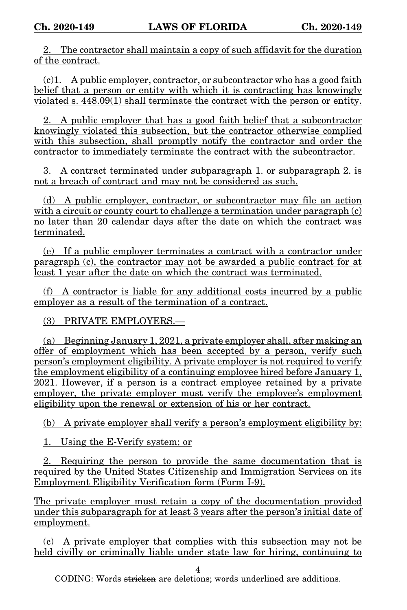2. The contractor shall maintain a copy of such affidavit for the duration of the contract.

(c)1. A public employer, contractor, or subcontractor who has a good faith belief that a person or entity with which it is contracting has knowingly violated s. 448.09(1) shall terminate the contract with the person or entity.

2. A public employer that has a good faith belief that a subcontractor knowingly violated this subsection, but the contractor otherwise complied with this subsection, shall promptly notify the contractor and order the contractor to immediately terminate the contract with the subcontractor.

3. A contract terminated under subparagraph 1. or subparagraph 2. is not a breach of contract and may not be considered as such.

(d) A public employer, contractor, or subcontractor may file an action with a circuit or county court to challenge a termination under paragraph  $(c)$ no later than 20 calendar days after the date on which the contract was terminated.

(e) If a public employer terminates a contract with a contractor under paragraph  $\overline{c}$ ), the contractor may not be awarded a public contract for at least 1 year after the date on which the contract was terminated.

(f) A contractor is liable for any additional costs incurred by a public employer as a result of the termination of a contract.

(3) PRIVATE EMPLOYERS.—

(a) Beginning January 1, 2021, a private employer shall, after making an offer of employment which has been accepted by a person, verify such person's employment eligibility. A private employer is not required to verify the employment eligibility of a continuing employee hired before January 1, 2021. However, if a person is a contract employee retained by a private employer, the private employer must verify the employee's employment eligibility upon the renewal or extension of his or her contract.

(b) A private employer shall verify a person's employment eligibility by:

1. Using the E-Verify system; or

2. Requiring the person to provide the same documentation that is required by the United States Citizenship and Immigration Services on its Employment Eligibility Verification form (Form I-9).

The private employer must retain a copy of the documentation provided under this subparagraph for at least 3 years after the person's initial date of employment.

(c) A private employer that complies with this subsection may not be held civilly or criminally liable under state law for hiring, continuing to

4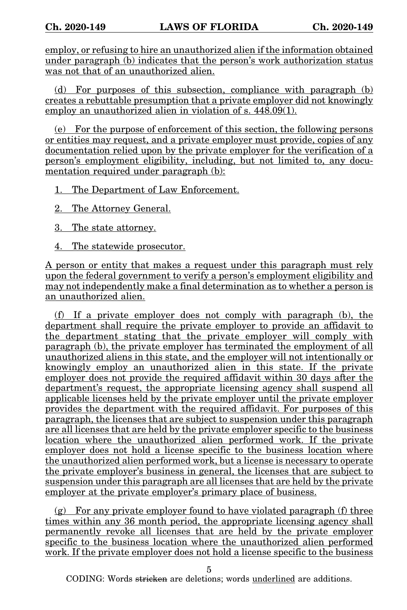employ, or refusing to hire an unauthorized alien if the information obtained under paragraph (b) indicates that the person's work authorization status was not that of an unauthorized alien.

(d) For purposes of this subsection, compliance with paragraph (b) creates a rebuttable presumption that a private employer did not knowingly employ an unauthorized alien in violation of s.  $448.09(1)$ .

(e) For the purpose of enforcement of this section, the following persons or entities may request, and a private employer must provide, copies of any documentation relied upon by the private employer for the verification of a person's employment eligibility, including, but not limited to, any documentation required under paragraph (b):

1. The Department of Law Enforcement.

2. The Attorney General.

3. The state attorney.

4. The statewide prosecutor.

A person or entity that makes a request under this paragraph must rely upon the federal government to verify a person's employment eligibility and may not independently make a final determination as to whether a person is an unauthorized alien.

(f) If a private employer does not comply with paragraph (b), the department shall require the private employer to provide an affidavit to the department stating that the private employer will comply with paragraph (b), the private employer has terminated the employment of all unauthorized aliens in this state, and the employer will not intentionally or knowingly employ an unauthorized alien in this state. If the private employer does not provide the required affidavit within 30 days after the department's request, the appropriate licensing agency shall suspend all applicable licenses held by the private employer until the private employer provides the department with the required affidavit. For purposes of this paragraph, the licenses that are subject to suspension under this paragraph are all licenses that are held by the private employer specific to the business location where the unauthorized alien performed work. If the private employer does not hold a license specific to the business location where the unauthorized alien performed work, but a license is necessary to operate the private employer's business in general, the licenses that are subject to suspension under this paragraph are all licenses that are held by the private employer at the private employer's primary place of business.

 $(g)$  For any private employer found to have violated paragraph (f) three times within any 36 month period, the appropriate licensing agency shall permanently revoke all licenses that are held by the private employer specific to the business location where the unauthorized alien performed work. If the private employer does not hold a license specific to the business

5